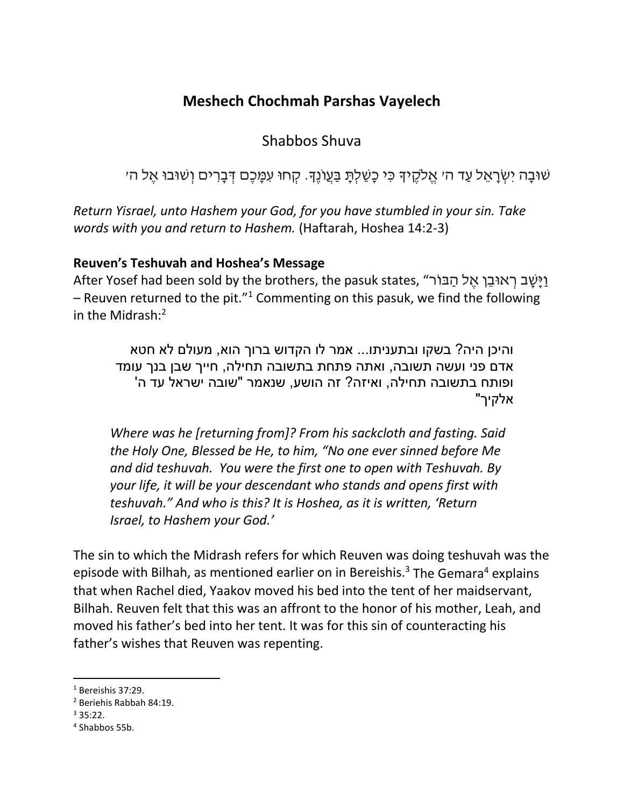## **Meshech Chochmah Parshas Vayelech**

Shabbos Shuva

ּשׁוּבָה יִשְׂרָאֵל עַד ה׳ אֱלֹקֶיךָ כִּי כָשַׁלִתָּ בַּעֲוֹנֶךָ. קְחוּ עִמָּכֶם דְּבָרִים וְשׁוּבוּ אֶל ה׳

*Return Yisrael, unto Hashem your God, for you have stumbled in your sin. Take words with you and return to Hashem.* (Haftarah, Hoshea 14:2-3)

## **Reuven's Teshuvah and Hoshea's Message**

וישב ראוּבן אל הבּוֹר". After Yosef had been sold by the brothers, the pasuk states, וישב ראוּבן אל – Reuven returned to the pit."<sup>1</sup> Commenting on this pasuk, we find the following in the Midrash: 2

והיכן היה? בשקו ובתעניתו... אמר לו הקדוש ברוך הוא, מעולם לא חטא אדם פני ועשה תשובה, ואתה פתחת בתשובה תחילה, חייך שבן בנך עומד ופותח בתשובה תחילה, ואיזה? זה הושע, שנאמר "שובה ישראל עד ה' אלקיך"

*Where was he [returning from]? From his sackcloth and fasting. Said the Holy One, Blessed be He, to him, "No one ever sinned before Me and did teshuvah. You were the first one to open with Teshuvah. By your life, it will be your descendant who stands and opens first with teshuvah." And who is this? It is Hoshea, as it is written, 'Return Israel, to Hashem your God.'*

The sin to which the Midrash refers for which Reuven was doing teshuvah was the episode with Bilhah, as mentioned earlier on in Bereishis.<sup>3</sup> The Gemara<sup>4</sup> explains that when Rachel died, Yaakov moved his bed into the tent of her maidservant, Bilhah. Reuven felt that this was an affront to the honor of his mother, Leah, and moved his father's bed into her tent. It was for this sin of counteracting his father's wishes that Reuven was repenting.

 $\overline{a}$ 

<sup>1</sup> Bereishis 37:29.

<sup>2</sup> Beriehis Rabbah 84:19.

 $335.22$ 

<sup>4</sup> Shabbos 55b.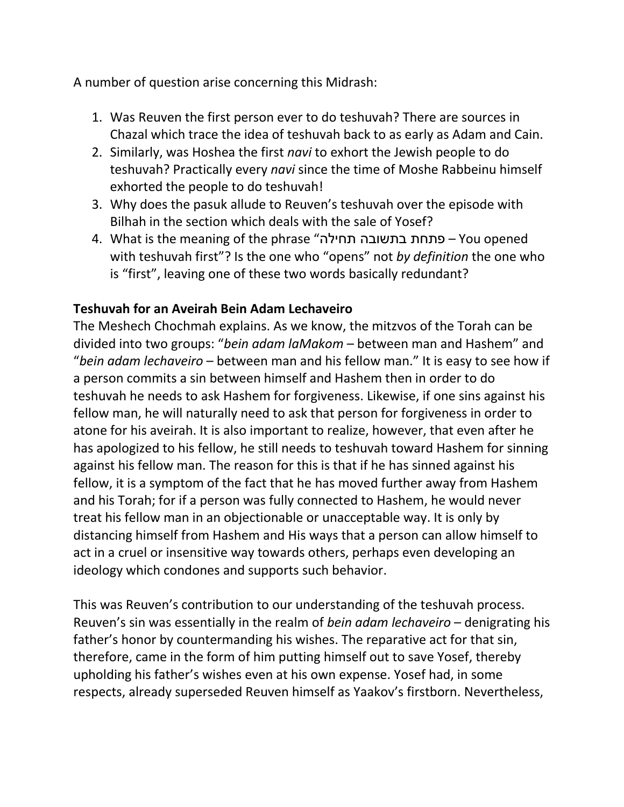A number of question arise concerning this Midrash:

- 1. Was Reuven the first person ever to do teshuvah? There are sources in Chazal which trace the idea of teshuvah back to as early as Adam and Cain.
- 2. Similarly, was Hoshea the first *navi* to exhort the Jewish people to do teshuvah? Practically every *navi* since the time of Moshe Rabbeinu himself exhorted the people to do teshuvah!
- 3. Why does the pasuk allude to Reuven's teshuvah over the episode with Bilhah in the section which deals with the sale of Yosef?
- 4. What is the meaning of the phrase "תחילה בתשובה פתחת You opened with teshuvah first"? Is the one who "opens" not *by definition* the one who is "first", leaving one of these two words basically redundant?

## **Teshuvah for an Aveirah Bein Adam Lechaveiro**

The Meshech Chochmah explains. As we know, the mitzvos of the Torah can be divided into two groups: "*bein adam laMakom* – between man and Hashem" and "*bein adam lechaveiro* – between man and his fellow man." It is easy to see how if a person commits a sin between himself and Hashem then in order to do teshuvah he needs to ask Hashem for forgiveness. Likewise, if one sins against his fellow man, he will naturally need to ask that person for forgiveness in order to atone for his aveirah. It is also important to realize, however, that even after he has apologized to his fellow, he still needs to teshuvah toward Hashem for sinning against his fellow man. The reason for this is that if he has sinned against his fellow, it is a symptom of the fact that he has moved further away from Hashem and his Torah; for if a person was fully connected to Hashem, he would never treat his fellow man in an objectionable or unacceptable way. It is only by distancing himself from Hashem and His ways that a person can allow himself to act in a cruel or insensitive way towards others, perhaps even developing an ideology which condones and supports such behavior.

This was Reuven's contribution to our understanding of the teshuvah process. Reuven's sin was essentially in the realm of *bein adam lechaveiro* – denigrating his father's honor by countermanding his wishes. The reparative act for that sin, therefore, came in the form of him putting himself out to save Yosef, thereby upholding his father's wishes even at his own expense. Yosef had, in some respects, already superseded Reuven himself as Yaakov's firstborn. Nevertheless,